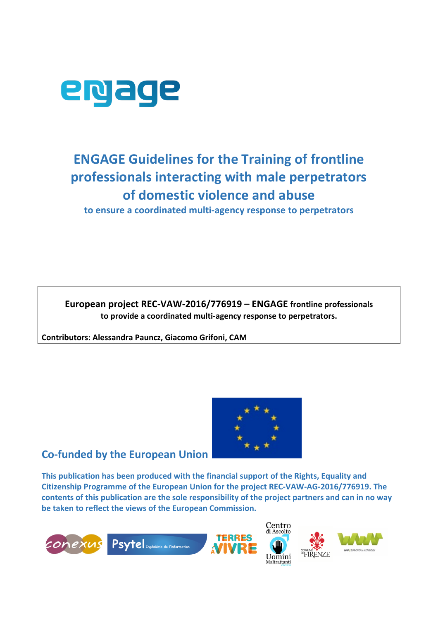

# **ENGAGE Guidelines for the Training of frontline professionals interacting with male perpetrators of domestic violence and abuse**

**to ensure a coordinated multi-agency response to perpetrators**

**European project REC-VAW-2016/776919 – ENGAGE frontline professionals to provide a coordinated multi-agency response to perpetrators.** 

**Contributors: Alessandra Pauncz, Giacomo Grifoni, CAM** 



## **Co-funded by the European Union**

**This publication has been produced with the financial support of the Rights, Equality and Citizenship Programme of the European Union for the project REC-VAW-AG-2016/776919. The contents of this publication are the sole responsibility of the project partners and can in no way be taken to reflect the views of the European Commission.**

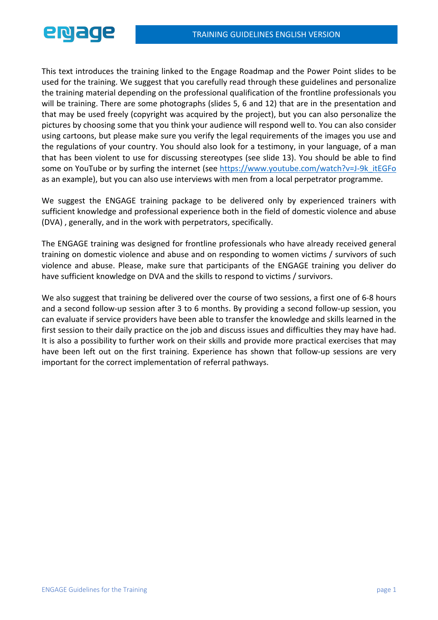

This text introduces the training linked to the Engage Roadmap and the Power Point slides to be used for the training. We suggest that you carefully read through these guidelines and personalize the training material depending on the professional qualification of the frontline professionals you will be training. There are some photographs (slides 5, 6 and 12) that are in the presentation and that may be used freely (copyright was acquired by the project), but you can also personalize the pictures by choosing some that you think your audience will respond well to. You can also consider using cartoons, but please make sure you verify the legal requirements of the images you use and the regulations of your country. You should also look for a testimony, in your language, of a man that has been violent to use for discussing stereotypes (see slide 13). You should be able to find some on YouTube or by surfing the internet (see https://www.youtube.com/watch?v=J-9k\_itEGFo as an example), but you can also use interviews with men from a local perpetrator programme.

We suggest the ENGAGE training package to be delivered only by experienced trainers with sufficient knowledge and professional experience both in the field of domestic violence and abuse (DVA) , generally, and in the work with perpetrators, specifically.

The ENGAGE training was designed for frontline professionals who have already received general training on domestic violence and abuse and on responding to women victims / survivors of such violence and abuse. Please, make sure that participants of the ENGAGE training you deliver do have sufficient knowledge on DVA and the skills to respond to victims / survivors.

We also suggest that training be delivered over the course of two sessions, a first one of 6-8 hours and a second follow-up session after 3 to 6 months. By providing a second follow-up session, you can evaluate if service providers have been able to transfer the knowledge and skills learned in the first session to their daily practice on the job and discuss issues and difficulties they may have had. It is also a possibility to further work on their skills and provide more practical exercises that may have been left out on the first training. Experience has shown that follow-up sessions are very important for the correct implementation of referral pathways.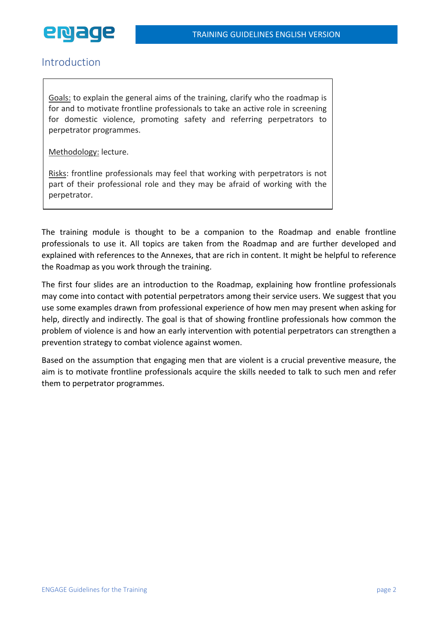

## Introduction

Goals: to explain the general aims of the training, clarify who the roadmap is for and to motivate frontline professionals to take an active role in screening for domestic violence, promoting safety and referring perpetrators to perpetrator programmes.

Methodology: lecture.

Risks: frontline professionals may feel that working with perpetrators is not part of their professional role and they may be afraid of working with the perpetrator.

The training module is thought to be a companion to the Roadmap and enable frontline professionals to use it. All topics are taken from the Roadmap and are further developed and explained with references to the Annexes, that are rich in content. It might be helpful to reference the Roadmap as you work through the training.

The first four slides are an introduction to the Roadmap, explaining how frontline professionals may come into contact with potential perpetrators among their service users. We suggest that you use some examples drawn from professional experience of how men may present when asking for help, directly and indirectly. The goal is that of showing frontline professionals how common the problem of violence is and how an early intervention with potential perpetrators can strengthen a prevention strategy to combat violence against women.

Based on the assumption that engaging men that are violent is a crucial preventive measure, the aim is to motivate frontline professionals acquire the skills needed to talk to such men and refer them to perpetrator programmes.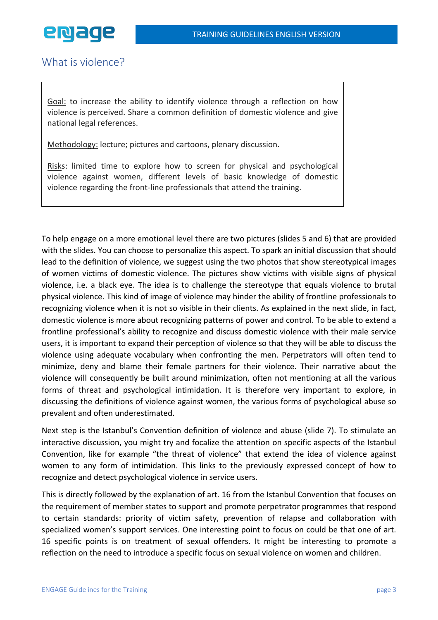

## What is violence?

Goal: to increase the ability to identify violence through a reflection on how violence is perceived. Share a common definition of domestic violence and give national legal references.

Methodology: lecture; pictures and cartoons, plenary discussion.

Risks: limited time to explore how to screen for physical and psychological violence against women, different levels of basic knowledge of domestic violence regarding the front-line professionals that attend the training.

To help engage on a more emotional level there are two pictures (slides 5 and 6) that are provided with the slides. You can choose to personalize this aspect. To spark an initial discussion that should lead to the definition of violence, we suggest using the two photos that show stereotypical images of women victims of domestic violence. The pictures show victims with visible signs of physical violence, i.e. a black eye. The idea is to challenge the stereotype that equals violence to brutal physical violence. This kind of image of violence may hinder the ability of frontline professionals to recognizing violence when it is not so visible in their clients. As explained in the next slide, in fact, domestic violence is more about recognizing patterns of power and control. To be able to extend a frontline professional's ability to recognize and discuss domestic violence with their male service users, it is important to expand their perception of violence so that they will be able to discuss the violence using adequate vocabulary when confronting the men. Perpetrators will often tend to minimize, deny and blame their female partners for their violence. Their narrative about the violence will consequently be built around minimization, often not mentioning at all the various forms of threat and psychological intimidation. It is therefore very important to explore, in discussing the definitions of violence against women, the various forms of psychological abuse so prevalent and often underestimated.

Next step is the Istanbul's Convention definition of violence and abuse (slide 7). To stimulate an interactive discussion, you might try and focalize the attention on specific aspects of the Istanbul Convention, like for example "the threat of violence" that extend the idea of violence against women to any form of intimidation. This links to the previously expressed concept of how to recognize and detect psychological violence in service users.

This is directly followed by the explanation of art. 16 from the Istanbul Convention that focuses on the requirement of member states to support and promote perpetrator programmes that respond to certain standards: priority of victim safety, prevention of relapse and collaboration with specialized women's support services. One interesting point to focus on could be that one of art. 16 specific points is on treatment of sexual offenders. It might be interesting to promote a reflection on the need to introduce a specific focus on sexual violence on women and children.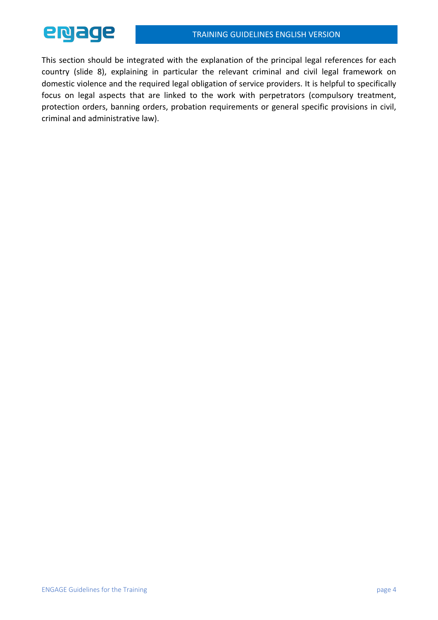

This section should be integrated with the explanation of the principal legal references for each country (slide 8), explaining in particular the relevant criminal and civil legal framework on domestic violence and the required legal obligation of service providers. It is helpful to specifically focus on legal aspects that are linked to the work with perpetrators (compulsory treatment, protection orders, banning orders, probation requirements or general specific provisions in civil, criminal and administrative law).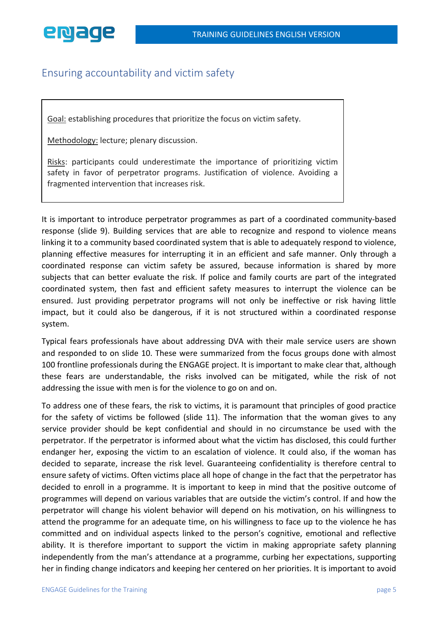

## Ensuring accountability and victim safety

Goal: establishing procedures that prioritize the focus on victim safety.

Methodology: lecture; plenary discussion.

Risks: participants could underestimate the importance of prioritizing victim safety in favor of perpetrator programs. Justification of violence. Avoiding a fragmented intervention that increases risk.

It is important to introduce perpetrator programmes as part of a coordinated community-based response (slide 9). Building services that are able to recognize and respond to violence means linking it to a community based coordinated system that is able to adequately respond to violence, planning effective measures for interrupting it in an efficient and safe manner. Only through a coordinated response can victim safety be assured, because information is shared by more subjects that can better evaluate the risk. If police and family courts are part of the integrated coordinated system, then fast and efficient safety measures to interrupt the violence can be ensured. Just providing perpetrator programs will not only be ineffective or risk having little impact, but it could also be dangerous, if it is not structured within a coordinated response system.

Typical fears professionals have about addressing DVA with their male service users are shown and responded to on slide 10. These were summarized from the focus groups done with almost 100 frontline professionals during the ENGAGE project. It is important to make clear that, although these fears are understandable, the risks involved can be mitigated, while the risk of not addressing the issue with men is for the violence to go on and on.

To address one of these fears, the risk to victims, it is paramount that principles of good practice for the safety of victims be followed (slide 11). The information that the woman gives to any service provider should be kept confidential and should in no circumstance be used with the perpetrator. If the perpetrator is informed about what the victim has disclosed, this could further endanger her, exposing the victim to an escalation of violence. It could also, if the woman has decided to separate, increase the risk level. Guaranteeing confidentiality is therefore central to ensure safety of victims. Often victims place all hope of change in the fact that the perpetrator has decided to enroll in a programme. It is important to keep in mind that the positive outcome of programmes will depend on various variables that are outside the victim's control. If and how the perpetrator will change his violent behavior will depend on his motivation, on his willingness to attend the programme for an adequate time, on his willingness to face up to the violence he has committed and on individual aspects linked to the person's cognitive, emotional and reflective ability. It is therefore important to support the victim in making appropriate safety planning independently from the man's attendance at a programme, curbing her expectations, supporting her in finding change indicators and keeping her centered on her priorities. It is important to avoid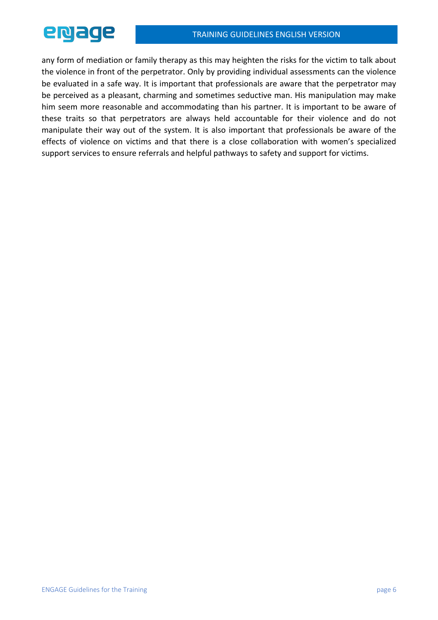

any form of mediation or family therapy as this may heighten the risks for the victim to talk about the violence in front of the perpetrator. Only by providing individual assessments can the violence be evaluated in a safe way. It is important that professionals are aware that the perpetrator may be perceived as a pleasant, charming and sometimes seductive man. His manipulation may make him seem more reasonable and accommodating than his partner. It is important to be aware of these traits so that perpetrators are always held accountable for their violence and do not manipulate their way out of the system. It is also important that professionals be aware of the effects of violence on victims and that there is a close collaboration with women's specialized support services to ensure referrals and helpful pathways to safety and support for victims.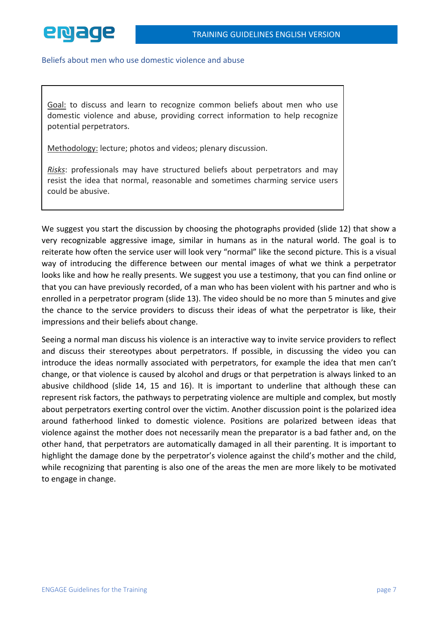

### Beliefs about men who use domestic violence and abuse

Goal: to discuss and learn to recognize common beliefs about men who use domestic violence and abuse, providing correct information to help recognize potential perpetrators.

Methodology: lecture; photos and videos; plenary discussion.

*Risks*: professionals may have structured beliefs about perpetrators and may resist the idea that normal, reasonable and sometimes charming service users could be abusive.

We suggest you start the discussion by choosing the photographs provided (slide 12) that show a very recognizable aggressive image, similar in humans as in the natural world. The goal is to reiterate how often the service user will look very "normal" like the second picture. This is a visual way of introducing the difference between our mental images of what we think a perpetrator looks like and how he really presents. We suggest you use a testimony, that you can find online or that you can have previously recorded, of a man who has been violent with his partner and who is enrolled in a perpetrator program (slide 13). The video should be no more than 5 minutes and give the chance to the service providers to discuss their ideas of what the perpetrator is like, their impressions and their beliefs about change.

Seeing a normal man discuss his violence is an interactive way to invite service providers to reflect and discuss their stereotypes about perpetrators. If possible, in discussing the video you can introduce the ideas normally associated with perpetrators, for example the idea that men can't change, or that violence is caused by alcohol and drugs or that perpetration is always linked to an abusive childhood (slide 14, 15 and 16). It is important to underline that although these can represent risk factors, the pathways to perpetrating violence are multiple and complex, but mostly about perpetrators exerting control over the victim. Another discussion point is the polarized idea around fatherhood linked to domestic violence. Positions are polarized between ideas that violence against the mother does not necessarily mean the preparator is a bad father and, on the other hand, that perpetrators are automatically damaged in all their parenting. It is important to highlight the damage done by the perpetrator's violence against the child's mother and the child, while recognizing that parenting is also one of the areas the men are more likely to be motivated to engage in change.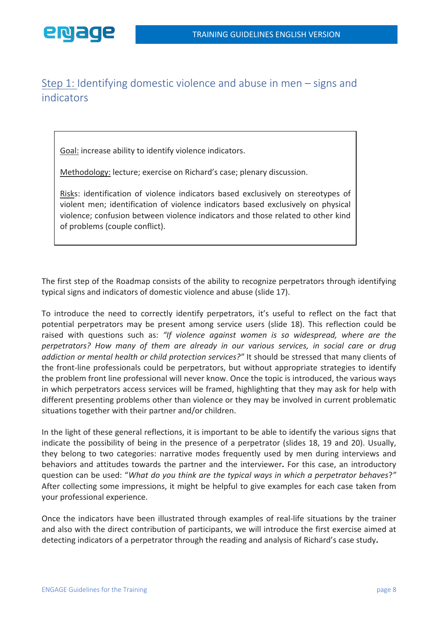

## Step 1: Identifying domestic violence and abuse in men – signs and indicators

Goal: increase ability to identify violence indicators.

Methodology: lecture; exercise on Richard's case; plenary discussion.

Risks: identification of violence indicators based exclusively on stereotypes of violent men; identification of violence indicators based exclusively on physical violence; confusion between violence indicators and those related to other kind of problems (couple conflict).

The first step of the Roadmap consists of the ability to recognize perpetrators through identifying typical signs and indicators of domestic violence and abuse (slide 17).

To introduce the need to correctly identify perpetrators, it's useful to reflect on the fact that potential perpetrators may be present among service users (slide 18). This reflection could be raised with questions such as: *"If violence against women is so widespread, where are the perpetrators? How many of them are already in our various services, in social care or drug addiction or mental health or child protection services?"* It should be stressed that many clients of the front-line professionals could be perpetrators, but without appropriate strategies to identify the problem front line professional will never know. Once the topic is introduced, the various ways in which perpetrators access services will be framed, highlighting that they may ask for help with different presenting problems other than violence or they may be involved in current problematic situations together with their partner and/or children.

In the light of these general reflections, it is important to be able to identify the various signs that indicate the possibility of being in the presence of a perpetrator (slides 18, 19 and 20). Usually, they belong to two categories: narrative modes frequently used by men during interviews and behaviors and attitudes towards the partner and the interviewer**.** For this case, an introductory question can be used: "*What do you think are the typical ways in which a perpetrator behaves*?*"*  After collecting some impressions, it might be helpful to give examples for each case taken from your professional experience.

Once the indicators have been illustrated through examples of real-life situations by the trainer and also with the direct contribution of participants, we will introduce the first exercise aimed at detecting indicators of a perpetrator through the reading and analysis of Richard's case study**.**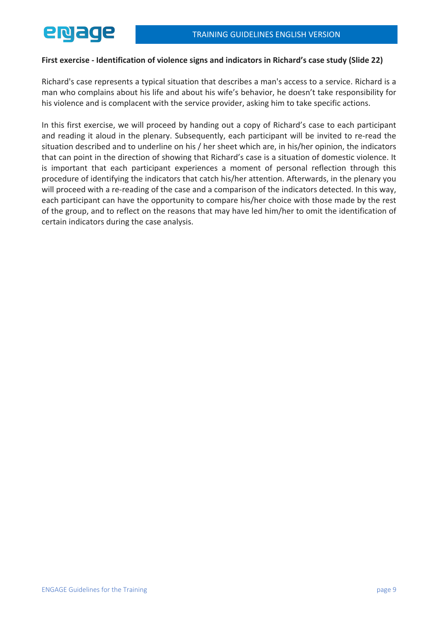### **First exercise - Identification of violence signs and indicators in Richard's case study (Slide 22)**

Richard's case represents a typical situation that describes a man's access to a service. Richard is a man who complains about his life and about his wife's behavior, he doesn't take responsibility for his violence and is complacent with the service provider, asking him to take specific actions.

In this first exercise, we will proceed by handing out a copy of Richard's case to each participant and reading it aloud in the plenary. Subsequently, each participant will be invited to re-read the situation described and to underline on his / her sheet which are, in his/her opinion, the indicators that can point in the direction of showing that Richard's case is a situation of domestic violence. It is important that each participant experiences a moment of personal reflection through this procedure of identifying the indicators that catch his/her attention. Afterwards, in the plenary you will proceed with a re-reading of the case and a comparison of the indicators detected. In this way, each participant can have the opportunity to compare his/her choice with those made by the rest of the group, and to reflect on the reasons that may have led him/her to omit the identification of certain indicators during the case analysis.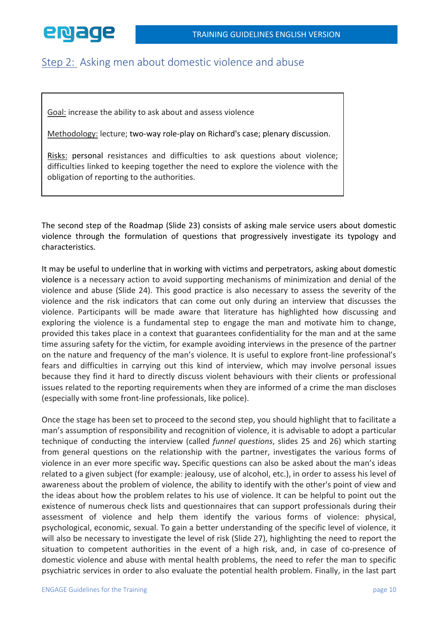# Step 2: Asking men about domestic violence and abuse

Goal: increase the ability to ask about and assess violence

Methodology: lecture; two-way role-play on Richard's case; plenary discussion.

Risks: personal resistances and difficulties to ask questions about violence; difficulties linked to keeping together the need to explore the violence with the obligation of reporting to the authorities.

The second step of the Roadmap (Slide 23) consists of asking male service users about domestic violence through the formulation of questions that progressively investigate its typology and characteristics.

It may be useful to underline that in working with victims and perpetrators, asking about domestic violence is a necessary action to avoid supporting mechanisms of minimization and denial of the violence and abuse (Slide 24). This good practice is also necessary to assess the severity of the violence and the risk indicators that can come out only during an interview that discusses the violence. Participants will be made aware that literature has highlighted how discussing and exploring the violence is a fundamental step to engage the man and motivate him to change, provided this takes place in a context that guarantees confidentiality for the man and at the same time assuring safety for the victim, for example avoiding interviews in the presence of the partner on the nature and frequency of the man's violence. It is useful to explore front-line professional's fears and difficulties in carrying out this kind of interview, which may involve personal issues because they find it hard to directly discuss violent behaviours with their clients or professional issues related to the reporting requirements when they are informed of a crime the man discloses (especially with some front-line professionals, like police).

Once the stage has been set to proceed to the second step, you should highlight that to facilitate a man's assumption of responsibility and recognition of violence, it is advisable to adopt a particular technique of conducting the interview (called *funnel questions*, slides 25 and 26) which starting from general questions on the relationship with the partner, investigates the various forms of violence in an ever more specific way**.** Specific questions can also be asked about the man's ideas related to a given subject (for example: jealousy, use of alcohol, etc.), in order to assess his level of awareness about the problem of violence, the ability to identify with the other's point of view and the ideas about how the problem relates to his use of violence. It can be helpful to point out the existence of numerous check lists and questionnaires that can support professionals during their assessment of violence and help them identify the various forms of violence: physical, psychological, economic, sexual. To gain a better understanding of the specific level of violence, it will also be necessary to investigate the level of risk (Slide 27), highlighting the need to report the situation to competent authorities in the event of a high risk, and, in case of co-presence of domestic violence and abuse with mental health problems, the need to refer the man to specific psychiatric services in order to also evaluate the potential health problem. Finally, in the last part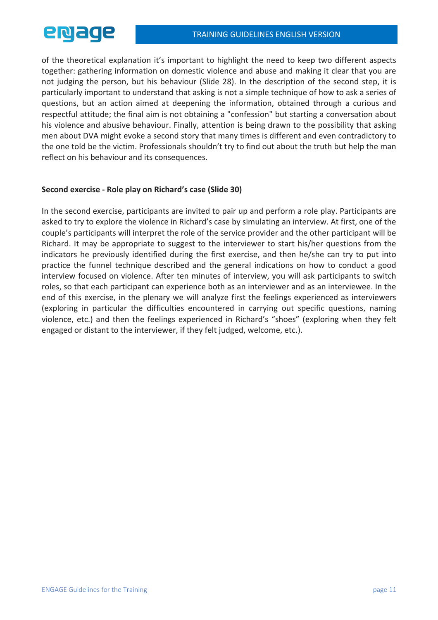

of the theoretical explanation it's important to highlight the need to keep two different aspects together: gathering information on domestic violence and abuse and making it clear that you are not judging the person, but his behaviour (Slide 28). In the description of the second step, it is particularly important to understand that asking is not a simple technique of how to ask a series of questions, but an action aimed at deepening the information, obtained through a curious and respectful attitude; the final aim is not obtaining a "confession" but starting a conversation about his violence and abusive behaviour. Finally, attention is being drawn to the possibility that asking men about DVA might evoke a second story that many times is different and even contradictory to the one told be the victim. Professionals shouldn't try to find out about the truth but help the man reflect on his behaviour and its consequences.

## **Second exercise - Role play on Richard's case (Slide 30)**

In the second exercise, participants are invited to pair up and perform a role play. Participants are asked to try to explore the violence in Richard's case by simulating an interview. At first, one of the couple's participants will interpret the role of the service provider and the other participant will be Richard. It may be appropriate to suggest to the interviewer to start his/her questions from the indicators he previously identified during the first exercise, and then he/she can try to put into practice the funnel technique described and the general indications on how to conduct a good interview focused on violence. After ten minutes of interview, you will ask participants to switch roles, so that each participant can experience both as an interviewer and as an interviewee. In the end of this exercise, in the plenary we will analyze first the feelings experienced as interviewers (exploring in particular the difficulties encountered in carrying out specific questions, naming violence, etc.) and then the feelings experienced in Richard's "shoes" (exploring when they felt engaged or distant to the interviewer, if they felt judged, welcome, etc.).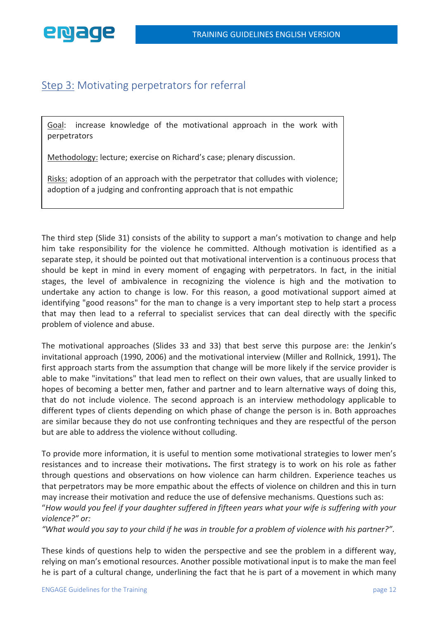

## Step 3: Motivating perpetrators for referral

Goal: increase knowledge of the motivational approach in the work with perpetrators

Methodology: lecture; exercise on Richard's case; plenary discussion.

Risks: adoption of an approach with the perpetrator that colludes with violence; adoption of a judging and confronting approach that is not empathic

The third step (Slide 31) consists of the ability to support a man's motivation to change and help him take responsibility for the violence he committed. Although motivation is identified as a separate step, it should be pointed out that motivational intervention is a continuous process that should be kept in mind in every moment of engaging with perpetrators. In fact, in the initial stages, the level of ambivalence in recognizing the violence is high and the motivation to undertake any action to change is low. For this reason, a good motivational support aimed at identifying "good reasons" for the man to change is a very important step to help start a process that may then lead to a referral to specialist services that can deal directly with the specific problem of violence and abuse.

The motivational approaches (Slides 33 and 33) that best serve this purpose are: the Jenkin's invitational approach (1990, 2006) and the motivational interview (Miller and Rollnick, 1991)**.** The first approach starts from the assumption that change will be more likely if the service provider is able to make "invitations" that lead men to reflect on their own values, that are usually linked to hopes of becoming a better men, father and partner and to learn alternative ways of doing this, that do not include violence. The second approach is an interview methodology applicable to different types of clients depending on which phase of change the person is in. Both approaches are similar because they do not use confronting techniques and they are respectful of the person but are able to address the violence without colluding.

To provide more information, it is useful to mention some motivational strategies to lower men's resistances and to increase their motivations**.** The first strategy is to work on his role as father through questions and observations on how violence can harm children. Experience teaches us that perpetrators may be more empathic about the effects of violence on children and this in turn may increase their motivation and reduce the use of defensive mechanisms. Questions such as: "*How would you feel if your daughter suffered in fifteen years what your wife is suffering with your* 

*violence?" or:* 

*"What would you say to your child if he was in trouble for a problem of violence with his partner?"*.

These kinds of questions help to widen the perspective and see the problem in a different way, relying on man's emotional resources. Another possible motivational input is to make the man feel he is part of a cultural change, underlining the fact that he is part of a movement in which many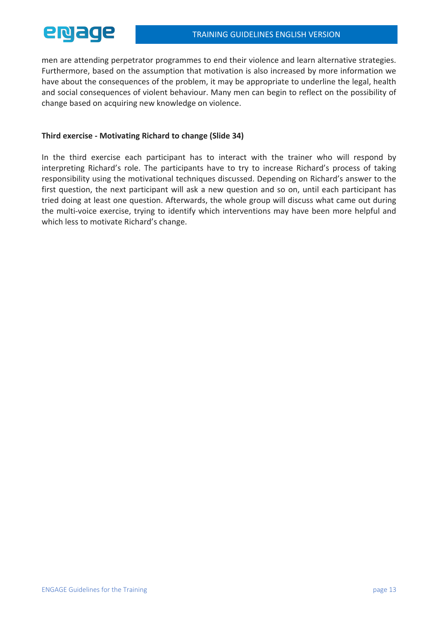

men are attending perpetrator programmes to end their violence and learn alternative strategies. Furthermore, based on the assumption that motivation is also increased by more information we have about the consequences of the problem, it may be appropriate to underline the legal, health and social consequences of violent behaviour. Many men can begin to reflect on the possibility of change based on acquiring new knowledge on violence.

### **Third exercise - Motivating Richard to change (Slide 34)**

In the third exercise each participant has to interact with the trainer who will respond by interpreting Richard's role. The participants have to try to increase Richard's process of taking responsibility using the motivational techniques discussed. Depending on Richard's answer to the first question, the next participant will ask a new question and so on, until each participant has tried doing at least one question. Afterwards, the whole group will discuss what came out during the multi-voice exercise, trying to identify which interventions may have been more helpful and which less to motivate Richard's change.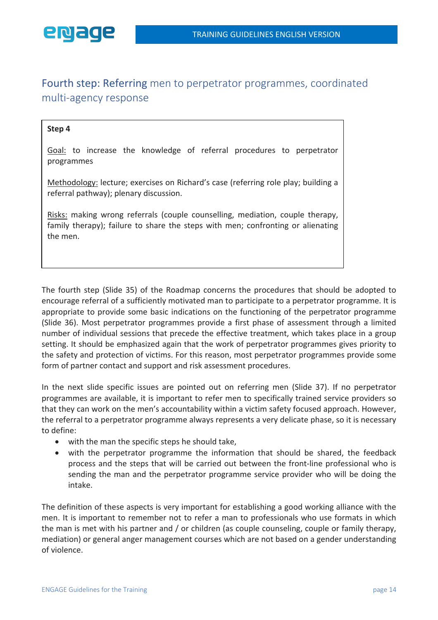

## Fourth step: Referring men to perpetrator programmes, coordinated multi-agency response

## **Step 4**

Goal: to increase the knowledge of referral procedures to perpetrator programmes

Methodology: lecture; exercises on Richard's case (referring role play; building a referral pathway); plenary discussion.

Risks: making wrong referrals (couple counselling, mediation, couple therapy, family therapy); failure to share the steps with men; confronting or alienating the men.

The fourth step (Slide 35) of the Roadmap concerns the procedures that should be adopted to encourage referral of a sufficiently motivated man to participate to a perpetrator programme. It is appropriate to provide some basic indications on the functioning of the perpetrator programme (Slide 36). Most perpetrator programmes provide a first phase of assessment through a limited number of individual sessions that precede the effective treatment, which takes place in a group setting. It should be emphasized again that the work of perpetrator programmes gives priority to the safety and protection of victims. For this reason, most perpetrator programmes provide some form of partner contact and support and risk assessment procedures.

In the next slide specific issues are pointed out on referring men (Slide 37). If no perpetrator programmes are available, it is important to refer men to specifically trained service providers so that they can work on the men's accountability within a victim safety focused approach. However, the referral to a perpetrator programme always represents a very delicate phase, so it is necessary to define:

- with the man the specific steps he should take,
- with the perpetrator programme the information that should be shared, the feedback process and the steps that will be carried out between the front-line professional who is sending the man and the perpetrator programme service provider who will be doing the intake.

The definition of these aspects is very important for establishing a good working alliance with the men. It is important to remember not to refer a man to professionals who use formats in which the man is met with his partner and / or children (as couple counseling, couple or family therapy, mediation) or general anger management courses which are not based on a gender understanding of violence.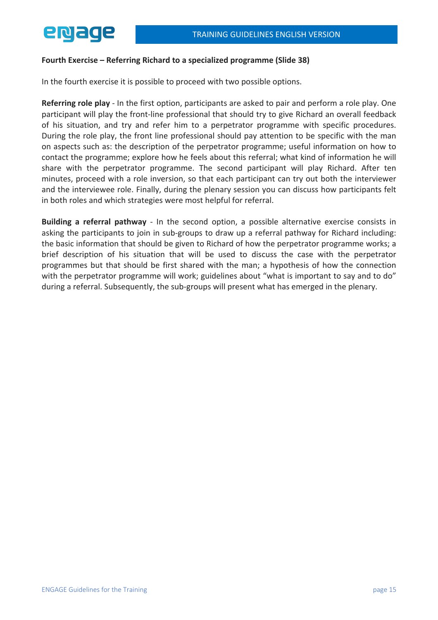## **Fourth Exercise – Referring Richard to a specialized programme (Slide 38)**

In the fourth exercise it is possible to proceed with two possible options.

**Referring role play** - In the first option, participants are asked to pair and perform a role play. One participant will play the front-line professional that should try to give Richard an overall feedback of his situation, and try and refer him to a perpetrator programme with specific procedures. During the role play, the front line professional should pay attention to be specific with the man on aspects such as: the description of the perpetrator programme; useful information on how to contact the programme; explore how he feels about this referral; what kind of information he will share with the perpetrator programme. The second participant will play Richard. After ten minutes, proceed with a role inversion, so that each participant can try out both the interviewer and the interviewee role. Finally, during the plenary session you can discuss how participants felt in both roles and which strategies were most helpful for referral.

**Building a referral pathway** - In the second option, a possible alternative exercise consists in asking the participants to join in sub-groups to draw up a referral pathway for Richard including: the basic information that should be given to Richard of how the perpetrator programme works; a brief description of his situation that will be used to discuss the case with the perpetrator programmes but that should be first shared with the man; a hypothesis of how the connection with the perpetrator programme will work; guidelines about "what is important to say and to do" during a referral. Subsequently, the sub-groups will present what has emerged in the plenary.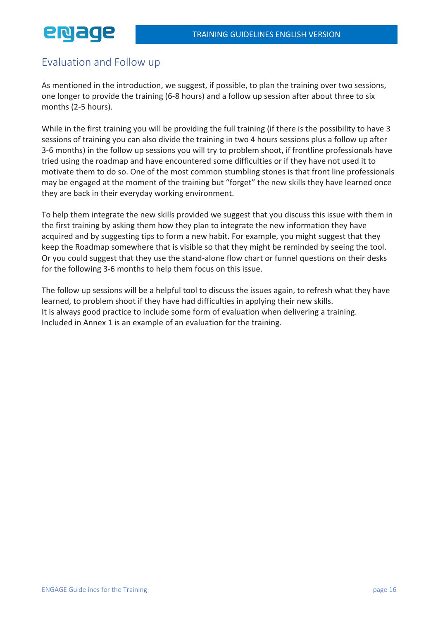# Evaluation and Follow up

As mentioned in the introduction, we suggest, if possible, to plan the training over two sessions, one longer to provide the training (6-8 hours) and a follow up session after about three to six months (2-5 hours).

While in the first training you will be providing the full training (if there is the possibility to have 3 sessions of training you can also divide the training in two 4 hours sessions plus a follow up after 3-6 months) in the follow up sessions you will try to problem shoot, if frontline professionals have tried using the roadmap and have encountered some difficulties or if they have not used it to motivate them to do so. One of the most common stumbling stones is that front line professionals may be engaged at the moment of the training but "forget" the new skills they have learned once they are back in their everyday working environment.

To help them integrate the new skills provided we suggest that you discuss this issue with them in the first training by asking them how they plan to integrate the new information they have acquired and by suggesting tips to form a new habit. For example, you might suggest that they keep the Roadmap somewhere that is visible so that they might be reminded by seeing the tool. Or you could suggest that they use the stand-alone flow chart or funnel questions on their desks for the following 3-6 months to help them focus on this issue.

The follow up sessions will be a helpful tool to discuss the issues again, to refresh what they have learned, to problem shoot if they have had difficulties in applying their new skills. It is always good practice to include some form of evaluation when delivering a training. Included in Annex 1 is an example of an evaluation for the training.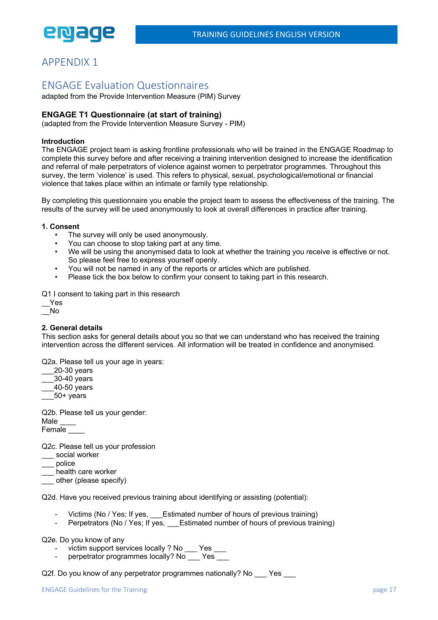

## APPENDIX 1

## ENGAGE Evaluation Questionnaires

adapted from the Provide Intervention Measure (PIM) Survey

### **ENGAGE T1 Questionnaire (at start of training)**

(adapted from the Provide Intervention Measure Survey - PIM)

#### **Introduction**

The ENGAGE project team is asking frontline professionals who will be trained in the ENGAGE Roadmap to complete this survey before and after receiving a training intervention designed to increase the identification and referral of male perpetrators of violence against women to perpetrator programmes. Throughout this survey, the term 'violence' is used. This refers to physical, sexual, psychological/emotional or financial violence that takes place within an intimate or family type relationship.

By completing this questionnaire you enable the project team to assess the effectiveness of the training. The results of the survey will be used anonymously to look at overall differences in practice after training.

#### **1. Consent**

- The survey will only be used anonymously.
- You can choose to stop taking part at any time.
- We will be using the anonymised data to look at whether the training you receive is effective or not. So please feel free to express yourself openly.
- You will not be named in any of the reports or articles which are published.
- Please tick the box below to confirm your consent to taking part in this research.

Q1 I consent to taking part in this research

\_\_Yes  $\bar{\mathsf{N}}$ o

#### **2. General details**

This section asks for general details about you so that we can understand who has received the training intervention across the different services. All information will be treated in confidence and anonymised.

Q2a. Please tell us your age in years:

\_\_\_20-30 years \_\_\_30-40 years \_\_\_40-50 years \_\_\_50+ years

Q2b. Please tell us your gender: Male Female

Q2c. Please tell us your profession

\_\_\_ social worker

\_\_\_ police

- \_\_\_ health care worker
- other (please specify)

Q2d. Have you received previous training about identifying or assisting (potential):

- Victims (No / Yes; If yes, Estimated number of hours of previous training)
- Perpetrators (No / Yes; If yes, Estimated number of hours of previous training)

Q2e. Do you know of any

- victim support services locally ? No Yes
- perpetrator programmes locally? No Yes

Q2f. Do you know of any perpetrator programmes nationally? No \_\_\_ Yes \_\_\_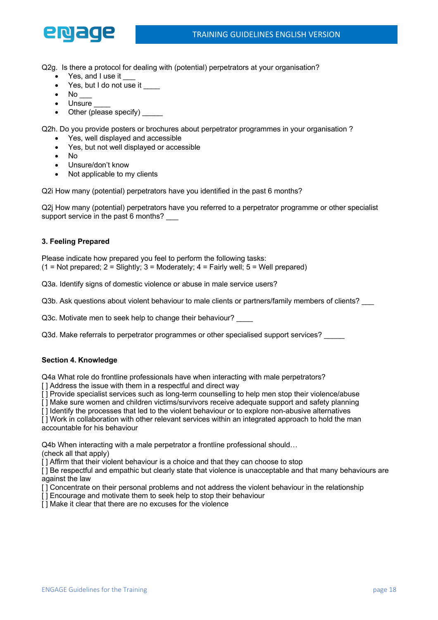

Q2g. Is there a protocol for dealing with (potential) perpetrators at your organisation?

- Yes, and I use it
- Yes, but I do not use it
- $\bullet$  No  $\bullet$
- Unsure
- Other (please specify) \_\_

Q2h. Do you provide posters or brochures about perpetrator programmes in your organisation ?

- Yes, well displayed and accessible
- Yes, but not well displayed or accessible
- No
- Unsure/don't know
- Not applicable to my clients

Q2i How many (potential) perpetrators have you identified in the past 6 months?

Q2j How many (potential) perpetrators have you referred to a perpetrator programme or other specialist support service in the past 6 months?

#### **3. Feeling Prepared**

Please indicate how prepared you feel to perform the following tasks:  $(1 = Not prepared; 2 = Slightly; 3 = Modernatedly; 4 = Fairly well; 5 = Well prepared)$ 

Q3a. Identify signs of domestic violence or abuse in male service users?

Q3b. Ask questions about violent behaviour to male clients or partners/family members of clients?

Q3c. Motivate men to seek help to change their behaviour?

Q3d. Make referrals to perpetrator programmes or other specialised support services? \_\_\_\_\_

#### **Section 4. Knowledge**

Q4a What role do frontline professionals have when interacting with male perpetrators? [ ] Address the issue with them in a respectful and direct way

[ ] Provide specialist services such as long-term counselling to help men stop their violence/abuse

[ ] Make sure women and children victims/survivors receive adequate support and safety planning

[ ] Identify the processes that led to the violent behaviour or to explore non-abusive alternatives

[ ] Work in collaboration with other relevant services within an integrated approach to hold the man accountable for his behaviour

Q4b When interacting with a male perpetrator a frontline professional should…

(check all that apply)

[ ] Affirm that their violent behaviour is a choice and that they can choose to stop

[] Be respectful and empathic but clearly state that violence is unacceptable and that many behaviours are against the law

[] Concentrate on their personal problems and not address the violent behaviour in the relationship

[] Encourage and motivate them to seek help to stop their behaviour

[] Make it clear that there are no excuses for the violence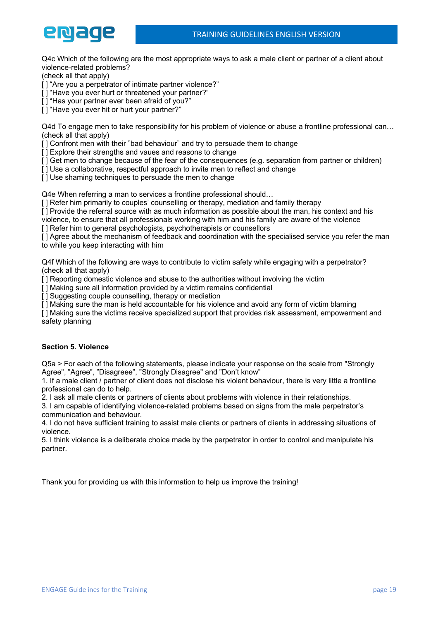



Q4c Which of the following are the most appropriate ways to ask a male client or partner of a client about violence-related problems?

(check all that apply)

[] "Are you a perpetrator of intimate partner violence?"

[] "Have you ever hurt or threatened your partner?"

[ ] "Has your partner ever been afraid of you?"

[ ] "Have you ever hit or hurt your partner?"

Q4d To engage men to take responsibility for his problem of violence or abuse a frontline professional can… (check all that apply)

[] Confront men with their "bad behaviour" and try to persuade them to change

[1] Explore their strengths and vaues and reasons to change

[1] Get men to change because of the fear of the consequences (e.g. separation from partner or children)

[] Use a collaborative, respectful approach to invite men to reflect and change

[] Use shaming techniques to persuade the men to change

Q4e When referring a man to services a frontline professional should…

[] Refer him primarily to couples' counselling or therapy, mediation and family therapy

[ ] Provide the referral source with as much information as possible about the man, his context and his

violence, to ensure that all professionals working with him and his family are aware of the violence

[] Refer him to general psychologists, psychotherapists or counsellors

[] Agree about the mechanism of feedback and coordination with the specialised service you refer the man to while you keep interacting with him

Q4f Which of the following are ways to contribute to victim safety while engaging with a perpetrator? (check all that apply)

[ ] Reporting domestic violence and abuse to the authorities without involving the victim

[ ] Making sure all information provided by a victim remains confidential

 $\overline{1}$  Suggesting couple counselling, therapy or mediation

[ ] Making sure the man is held accountable for his violence and avoid any form of victim blaming

[ ] Making sure the victims receive specialized support that provides risk assessment, empowerment and safety planning

#### **Section 5. Violence**

Q5a > For each of the following statements, please indicate your response on the scale from "Strongly Agree", "Agree", "Disagreee", "Strongly Disagree" and "Don't know"

1. If a male client / partner of client does not disclose his violent behaviour, there is very little a frontline professional can do to help.

2. I ask all male clients or partners of clients about problems with violence in their relationships.

3. I am capable of identifying violence-related problems based on signs from the male perpetrator's communication and behaviour.

4. I do not have sufficient training to assist male clients or partners of clients in addressing situations of violence.

5. I think violence is a deliberate choice made by the perpetrator in order to control and manipulate his partner.

Thank you for providing us with this information to help us improve the training!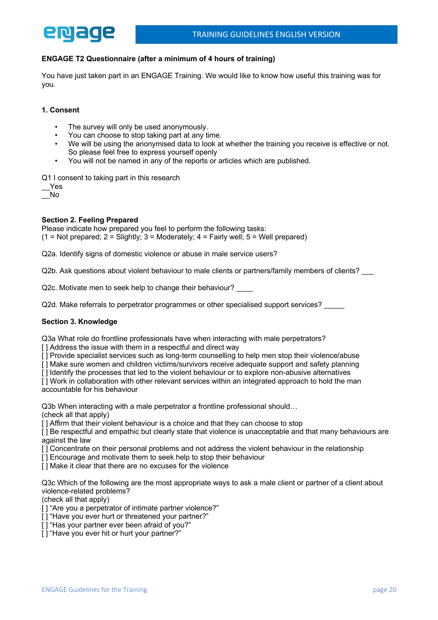

#### **ENGAGE T2 Questionnaire (after a minimum of 4 hours of training)**

You have just taken part in an ENGAGE Training. We would like to know how useful this training was for you.

#### **1. Consent**

- The survey will only be used anonymously.
- You can choose to stop taking part at any time.
- We will be using the anonymised data to look at whether the training you receive is effective or not. So please feel free to express yourself openly
- You will not be named in any of the reports or articles which are published.

Q1 I consent to taking part in this research

\_\_Yes \_\_No

#### **Section 2. Feeling Prepared**

Please indicate how prepared you feel to perform the following tasks:  $(1 = Not prepared; 2 = Slightly; 3 = Moderned; 4 = Fairly well; 5 = Well prepared)$ 

Q2a. Identify signs of domestic violence or abuse in male service users?

Q2b. Ask questions about violent behaviour to male clients or partners/family members of clients? \_\_\_

Q2c. Motivate men to seek help to change their behaviour?

Q2d. Make referrals to perpetrator programmes or other specialised support services?

#### **Section 3. Knowledge**

Q3a What role do frontline professionals have when interacting with male perpetrators?

[ ] Address the issue with them in a respectful and direct way

[] Provide specialist services such as long-term counselling to help men stop their violence/abuse

[ ] Make sure women and children victims/survivors receive adequate support and safety planning

[ ] Identify the processes that led to the violent behaviour or to explore non-abusive alternatives

[] Work in collaboration with other relevant services within an integrated approach to hold the man accountable for his behaviour

Q3b When interacting with a male perpetrator a frontline professional should…

(check all that apply)

[ ] Affirm that their violent behaviour is a choice and that they can choose to stop

[] Be respectful and empathic but clearly state that violence is unacceptable and that many behaviours are against the law

- [] Concentrate on their personal problems and not address the violent behaviour in the relationship
- [] Encourage and motivate them to seek help to stop their behaviour
- [] Make it clear that there are no excuses for the violence

Q3c Which of the following are the most appropriate ways to ask a male client or partner of a client about violence-related problems?

(check all that apply)

[] "Are you a perpetrator of intimate partner violence?"

- [] "Have you ever hurt or threatened your partner?"
- [] "Has your partner ever been afraid of you?"
- [] "Have you ever hit or hurt your partner?"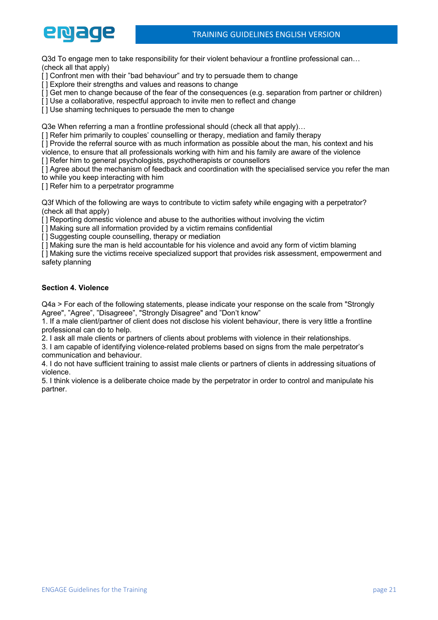

Q3d To engage men to take responsibility for their violent behaviour a frontline professional can… (check all that apply)

[ ] Confront men with their "bad behaviour" and try to persuade them to change

[ ] Explore their strengths and values and reasons to change

[] Get men to change because of the fear of the consequences (e.g. separation from partner or children)

[ ] Use a collaborative, respectful approach to invite men to reflect and change

[ ] Use shaming techniques to persuade the men to change

Q3e When referring a man a frontline professional should (check all that apply)...

[ ] Refer him primarily to couples' counselling or therapy, mediation and family therapy

[] Provide the referral source with as much information as possible about the man, his context and his

violence, to ensure that all professionals working with him and his family are aware of the violence

[1] Refer him to general psychologists, psychotherapists or counsellors

[] Agree about the mechanism of feedback and coordination with the specialised service you refer the man to while you keep interacting with him

[] Refer him to a perpetrator programme

Q3f Which of the following are ways to contribute to victim safety while engaging with a perpetrator? (check all that apply)

[ ] Reporting domestic violence and abuse to the authorities without involving the victim

[] Making sure all information provided by a victim remains confidential

[] Suggesting couple counselling, therapy or mediation

[ ] Making sure the man is held accountable for his violence and avoid any form of victim blaming

[ ] Making sure the victims receive specialized support that provides risk assessment, empowerment and safety planning

#### **Section 4. Violence**

Q4a > For each of the following statements, please indicate your response on the scale from "Strongly Agree", "Agree", "Disagreee", "Strongly Disagree" and "Don't know"

1. If a male client/partner of client does not disclose his violent behaviour, there is very little a frontline professional can do to help.

2. I ask all male clients or partners of clients about problems with violence in their relationships.

3. I am capable of identifying violence-related problems based on signs from the male perpetrator's communication and behaviour.

4. I do not have sufficient training to assist male clients or partners of clients in addressing situations of violence.

5. I think violence is a deliberate choice made by the perpetrator in order to control and manipulate his partner.